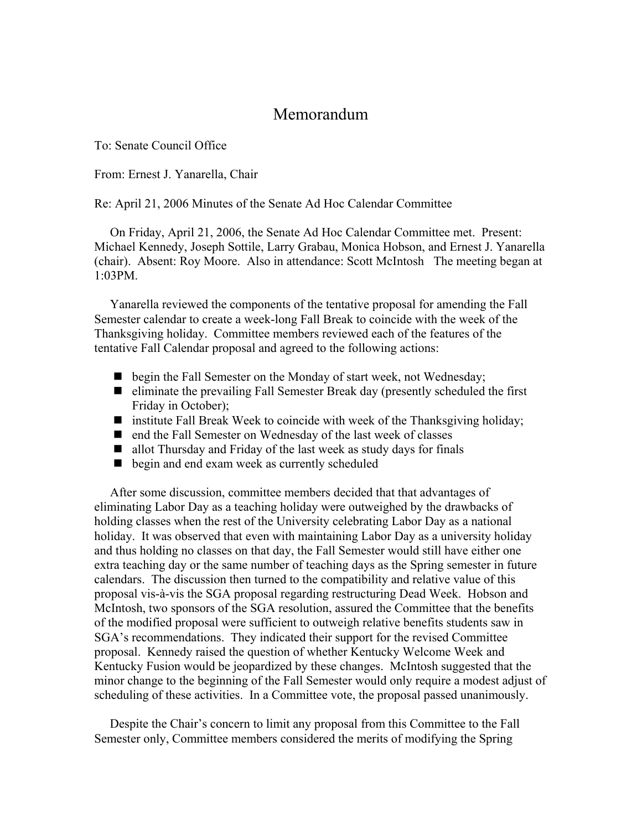## Memorandum

To: Senate Council Office

From: Ernest J. Yanarella, Chair

Re: April 21, 2006 Minutes of the Senate Ad Hoc Calendar Committee

 On Friday, April 21, 2006, the Senate Ad Hoc Calendar Committee met. Present: Michael Kennedy, Joseph Sottile, Larry Grabau, Monica Hobson, and Ernest J. Yanarella (chair). Absent: Roy Moore. Also in attendance: Scott McIntosh The meeting began at 1:03PM.

 Yanarella reviewed the components of the tentative proposal for amending the Fall Semester calendar to create a week-long Fall Break to coincide with the week of the Thanksgiving holiday. Committee members reviewed each of the features of the tentative Fall Calendar proposal and agreed to the following actions:

- **D** begin the Fall Semester on the Monday of start week, not Wednesday;
- $\blacksquare$  eliminate the prevailing Fall Semester Break day (presently scheduled the first Friday in October);
- $\blacksquare$  institute Fall Break Week to coincide with week of the Thanksgiving holiday;
- end the Fall Semester on Wednesday of the last week of classes
- allot Thursday and Friday of the last week as study days for finals
- begin and end exam week as currently scheduled

 After some discussion, committee members decided that that advantages of eliminating Labor Day as a teaching holiday were outweighed by the drawbacks of holding classes when the rest of the University celebrating Labor Day as a national holiday. It was observed that even with maintaining Labor Day as a university holiday and thus holding no classes on that day, the Fall Semester would still have either one extra teaching day or the same number of teaching days as the Spring semester in future calendars. The discussion then turned to the compatibility and relative value of this proposal vis-à-vis the SGA proposal regarding restructuring Dead Week. Hobson and McIntosh, two sponsors of the SGA resolution, assured the Committee that the benefits of the modified proposal were sufficient to outweigh relative benefits students saw in SGA's recommendations. They indicated their support for the revised Committee proposal. Kennedy raised the question of whether Kentucky Welcome Week and Kentucky Fusion would be jeopardized by these changes. McIntosh suggested that the minor change to the beginning of the Fall Semester would only require a modest adjust of scheduling of these activities. In a Committee vote, the proposal passed unanimously.

 Despite the Chair's concern to limit any proposal from this Committee to the Fall Semester only, Committee members considered the merits of modifying the Spring